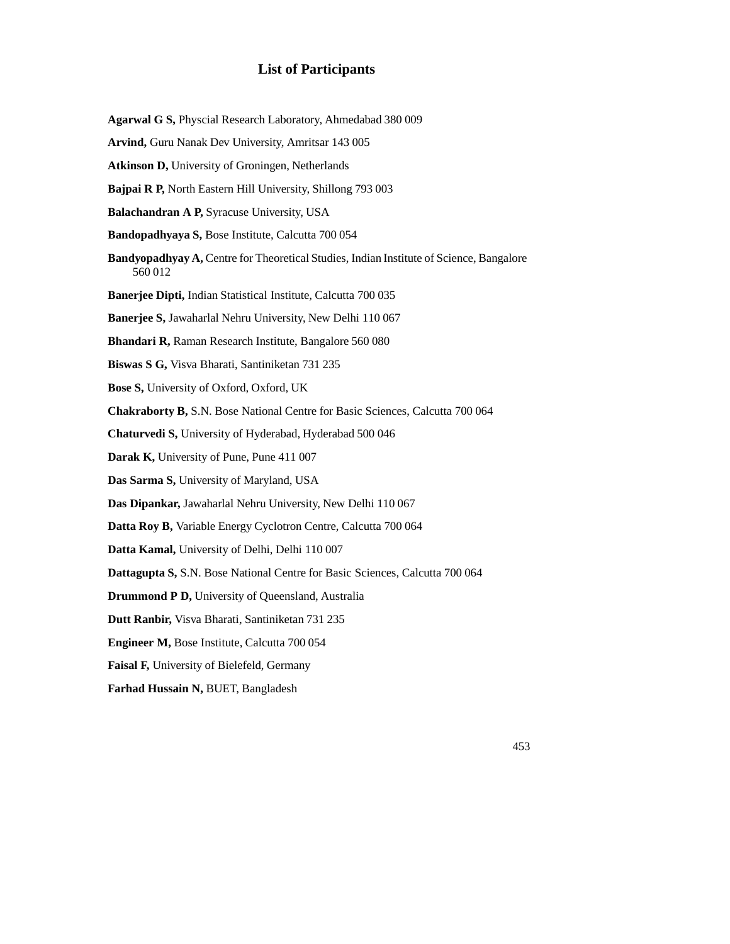# **List of Participants**

- **Agarwal G S,** Physcial Research Laboratory, Ahmedabad 380 009
- **Arvind,** Guru Nanak Dev University, Amritsar 143 005
- **Atkinson D,** University of Groningen, Netherlands
- **Bajpai R P,** North Eastern Hill University, Shillong 793 003
- **Balachandran A P,** Syracuse University, USA
- **Bandopadhyaya S,** Bose Institute, Calcutta 700 054
- **Bandyopadhyay A,** Centre for Theoretical Studies, Indian Institute of Science, Bangalore 560 012
- **Banerjee Dipti,** Indian Statistical Institute, Calcutta 700 035
- **Banerjee S,** Jawaharlal Nehru University, New Delhi 110 067
- **Bhandari R,** Raman Research Institute, Bangalore 560 080
- **Biswas S G,** Visva Bharati, Santiniketan 731 235
- **Bose S,** University of Oxford, Oxford, UK
- **Chakraborty B,** S.N. Bose National Centre for Basic Sciences, Calcutta 700 064
- **Chaturvedi S,** University of Hyderabad, Hyderabad 500 046
- **Darak K,** University of Pune, Pune 411 007
- **Das Sarma S,** University of Maryland, USA
- **Das Dipankar,** Jawaharlal Nehru University, New Delhi 110 067
- **Datta Roy B,** Variable Energy Cyclotron Centre, Calcutta 700 064
- **Datta Kamal,** University of Delhi, Delhi 110 007
- **Dattagupta S,** S.N. Bose National Centre for Basic Sciences, Calcutta 700 064
- **Drummond P D,** University of Queensland, Australia
- **Dutt Ranbir,** Visva Bharati, Santiniketan 731 235
- **Engineer M,** Bose Institute, Calcutta 700 054
- **Faisal F,** University of Bielefeld, Germany
- **Farhad Hussain N,** BUET, Bangladesh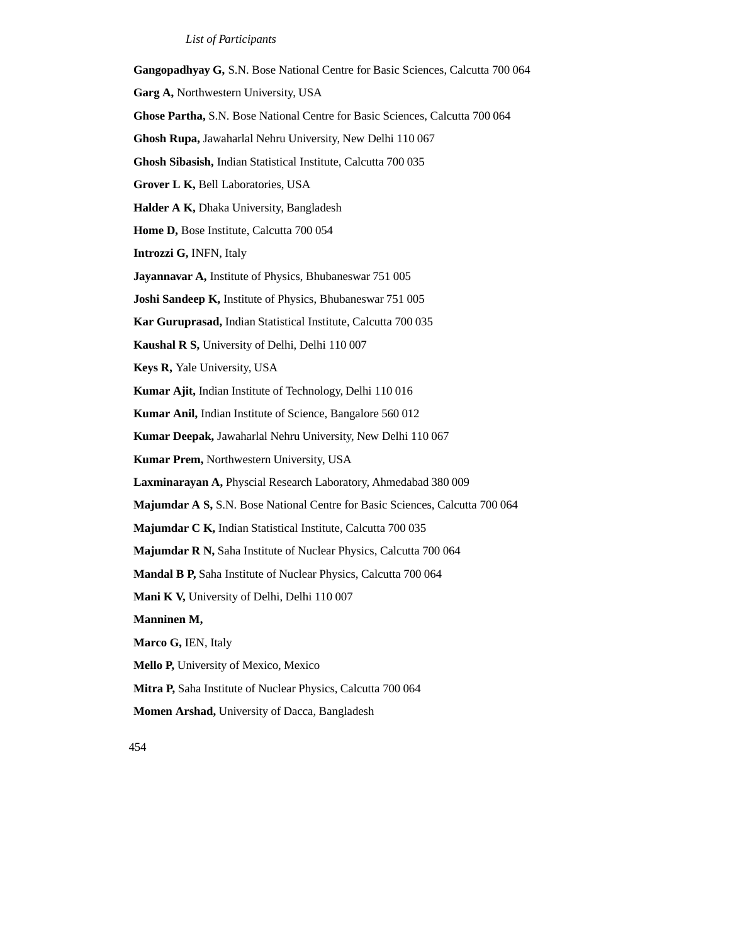### *List of Participants*

**Gangopadhyay G,** S.N. Bose National Centre for Basic Sciences, Calcutta 700 064 **Garg A,** Northwestern University, USA **Ghose Partha,** S.N. Bose National Centre for Basic Sciences, Calcutta 700 064 **Ghosh Rupa,** Jawaharlal Nehru University, New Delhi 110 067 **Ghosh Sibasish,** Indian Statistical Institute, Calcutta 700 035 **Grover L K,** Bell Laboratories, USA **Halder A K,** Dhaka University, Bangladesh **Home D,** Bose Institute, Calcutta 700 054 **Introzzi G,** INFN, Italy **Jayannavar A,** Institute of Physics, Bhubaneswar 751 005 **Joshi Sandeep K,** Institute of Physics, Bhubaneswar 751 005 **Kar Guruprasad,** Indian Statistical Institute, Calcutta 700 035 **Kaushal R S,** University of Delhi, Delhi 110 007 **Keys R,** Yale University, USA **Kumar Ajit,** Indian Institute of Technology, Delhi 110 016 **Kumar Anil,** Indian Institute of Science, Bangalore 560 012 **Kumar Deepak,** Jawaharlal Nehru University, New Delhi 110 067 **Kumar Prem,** Northwestern University, USA **Laxminarayan A,** Physcial Research Laboratory, Ahmedabad 380 009 **Majumdar A S,** S.N. Bose National Centre for Basic Sciences, Calcutta 700 064 **Majumdar C K,** Indian Statistical Institute, Calcutta 700 035 **Majumdar R N,** Saha Institute of Nuclear Physics, Calcutta 700 064 **Mandal B P,** Saha Institute of Nuclear Physics, Calcutta 700 064 **Mani K V,** University of Delhi, Delhi 110 007 **Manninen M, Marco G,** IEN, Italy **Mello P,** University of Mexico, Mexico **Mitra P,** Saha Institute of Nuclear Physics, Calcutta 700 064 **Momen Arshad,** University of Dacca, Bangladesh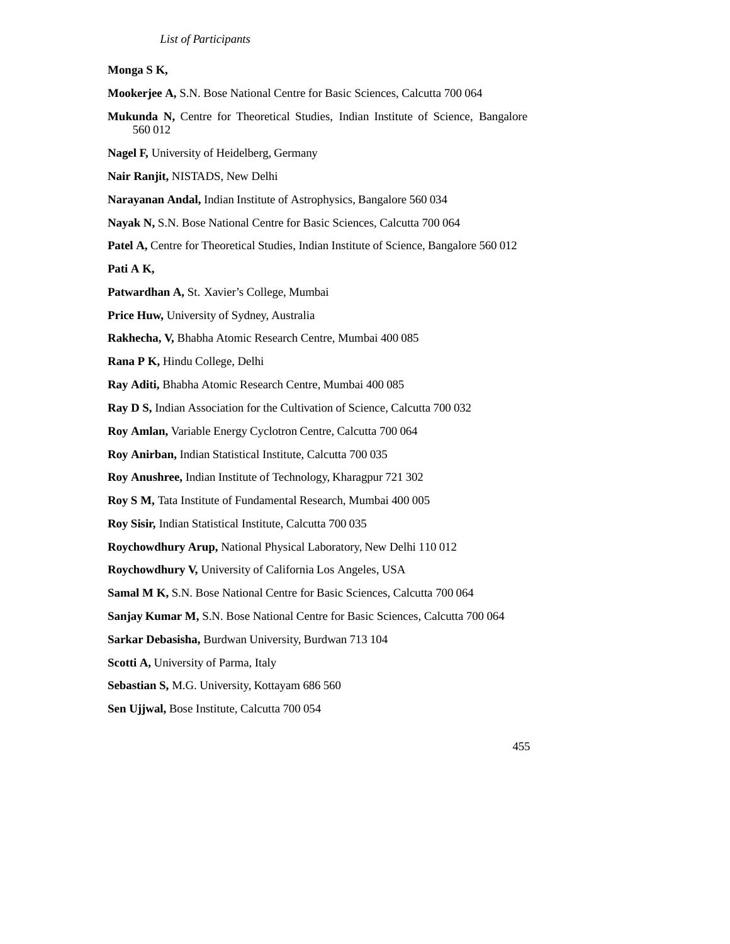### **Monga S K,**

**Mookerjee A,** S.N. Bose National Centre for Basic Sciences, Calcutta 700 064

- **Mukunda N,** Centre for Theoretical Studies, Indian Institute of Science, Bangalore 560 012
- **Nagel F,** University of Heidelberg, Germany

**Nair Ranjit,** NISTADS, New Delhi

**Narayanan Andal,** Indian Institute of Astrophysics, Bangalore 560 034

**Nayak N,** S.N. Bose National Centre for Basic Sciences, Calcutta 700 064

**Patel A, Centre for Theoretical Studies, Indian Institute of Science, Bangalore 560 012** 

**Pati A K,**

**Patwardhan A,** St. Xavier's College, Mumbai

**Price Huw,** University of Sydney, Australia

**Rakhecha, V,** Bhabha Atomic Research Centre, Mumbai 400 085

**Rana P K,** Hindu College, Delhi

**Ray Aditi,** Bhabha Atomic Research Centre, Mumbai 400 085

**Ray D S,** Indian Association for the Cultivation of Science, Calcutta 700 032

**Roy Amlan,** Variable Energy Cyclotron Centre, Calcutta 700 064

**Roy Anirban,** Indian Statistical Institute, Calcutta 700 035

**Roy Anushree,** Indian Institute of Technology, Kharagpur 721 302

**Roy S M,** Tata Institute of Fundamental Research, Mumbai 400 005

**Roy Sisir,** Indian Statistical Institute, Calcutta 700 035

**Roychowdhury Arup,** National Physical Laboratory, New Delhi 110 012

**Roychowdhury V,** University of California Los Angeles, USA

**Samal M K,** S.N. Bose National Centre for Basic Sciences, Calcutta 700 064

**Sanjay Kumar M,** S.N. Bose National Centre for Basic Sciences, Calcutta 700 064

**Sarkar Debasisha,** Burdwan University, Burdwan 713 104

**Scotti A,** University of Parma, Italy

**Sebastian S,** M.G. University, Kottayam 686 560

**Sen Ujjwal,** Bose Institute, Calcutta 700 054